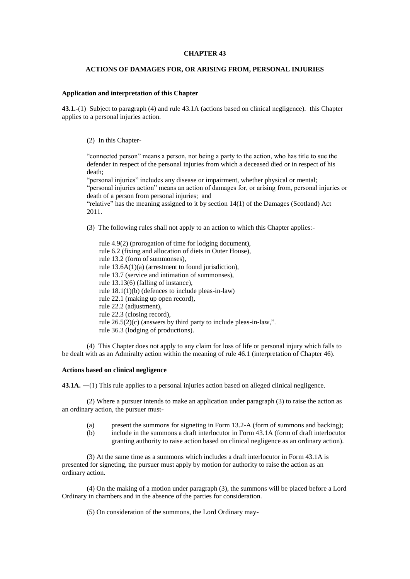## **CHAPTER 43**

## **ACTIONS OF DAMAGES FOR, OR ARISING FROM, PERSONAL INJURIES**

## **Application and interpretation of this Chapter**

**43.1.**-(1) Subject to paragraph (4) and rule 43.1A (actions based on clinical negligence). this Chapter applies to a personal injuries action.

(2) In this Chapter-

"connected person" means a person, not being a party to the action, who has title to sue the defender in respect of the personal injuries from which a deceased died or in respect of his death;

"personal injuries" includes any disease or impairment, whether physical or mental; "personal injuries action" means an action of damages for, or arising from, personal injuries or death of a person from personal injuries; and

"relative" has the meaning assigned to it by section 14(1) of the Damages (Scotland) Act 2011.

- (3) The following rules shall not apply to an action to which this Chapter applies:
	- rule 4.9(2) (prorogation of time for lodging document), rule 6.2 (fixing and allocation of diets in Outer House), rule 13.2 (form of summonses), rule 13.6A(1)(a) (arrestment to found jurisdiction), rule 13.7 (service and intimation of summonses), rule 13.13(6) (falling of instance), rule 18.1(1)(b) (defences to include pleas-in-law) rule 22.1 (making up open record), rule 22.2 (adjustment), rule 22.3 (closing record), rule 26.5(2)(c) (answers by third party to include pleas-in-law,". rule 36.3 (lodging of productions).

(4) This Chapter does not apply to any claim for loss of life or personal injury which falls to be dealt with as an Admiralty action within the meaning of rule 46.1 (interpretation of Chapter 46).

## **Actions based on clinical negligence**

43.1A. —(1) This rule applies to a personal injuries action based on alleged clinical negligence.

(2) Where a pursuer intends to make an application under paragraph (3) to raise the action as an ordinary action, the pursuer must-

- (a) present the summons for signeting in Form 13.2-A (form of summons and backing);
- (b) include in the summons a draft interlocutor in Form 43.1A (form of draft interlocutor granting authority to raise action based on clinical negligence as an ordinary action).

(3) At the same time as a summons which includes a draft interlocutor in Form 43.1A is presented for signeting, the pursuer must apply by motion for authority to raise the action as an ordinary action.

(4) On the making of a motion under paragraph (3), the summons will be placed before a Lord Ordinary in chambers and in the absence of the parties for consideration.

(5) On consideration of the summons, the Lord Ordinary may-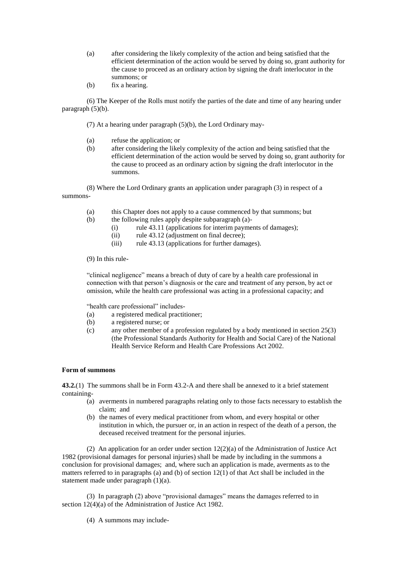- (a) after considering the likely complexity of the action and being satisfied that the efficient determination of the action would be served by doing so, grant authority for the cause to proceed as an ordinary action by signing the draft interlocutor in the summons; or
- (b) fix a hearing.

(6) The Keeper of the Rolls must notify the parties of the date and time of any hearing under paragraph  $(5)(b)$ .

(7) At a hearing under paragraph (5)(b), the Lord Ordinary may-

- (a) refuse the application; or
- (b) after considering the likely complexity of the action and being satisfied that the efficient determination of the action would be served by doing so, grant authority for the cause to proceed as an ordinary action by signing the draft interlocutor in the summons.

(8) Where the Lord Ordinary grants an application under paragraph (3) in respect of a summons-

- (a) this Chapter does not apply to a cause commenced by that summons; but
- (b) the following rules apply despite subparagraph (a)-
	- (i) rule 43.11 (applications for interim payments of damages);
	- (ii) rule 43.12 (adjustment on final decree);
	- (iii) rule 43.13 (applications for further damages).

(9) In this rule-

"clinical negligence" means a breach of duty of care by a health care professional in connection with that person's diagnosis or the care and treatment of any person, by act or omission, while the health care professional was acting in a professional capacity; and

"health care professional" includes-

- (a) a registered medical practitioner;
- (b) a registered nurse; or
- (c) any other member of a profession regulated by a body mentioned in section 25(3) (the Professional Standards Authority for Health and Social Care) of the National Health Service Reform and Health Care Professions Act 2002.

## **Form of summons**

**43.2.**(1) The summons shall be in Form 43.2-A and there shall be annexed to it a brief statement containing-

- (a) averments in numbered paragraphs relating only to those facts necessary to establish the claim; and
- (b) the names of every medical practitioner from whom, and every hospital or other institution in which, the pursuer or, in an action in respect of the death of a person, the deceased received treatment for the personal injuries.

(2) An application for an order under section 12(2)(a) of the Administration of Justice Act 1982 (provisional damages for personal injuries) shall be made by including in the summons a conclusion for provisional damages; and, where such an application is made, averments as to the matters referred to in paragraphs (a) and (b) of section  $12(1)$  of that Act shall be included in the statement made under paragraph (1)(a).

(3) In paragraph (2) above "provisional damages" means the damages referred to in section 12(4)(a) of the Administration of Justice Act 1982.

(4) A summons may include-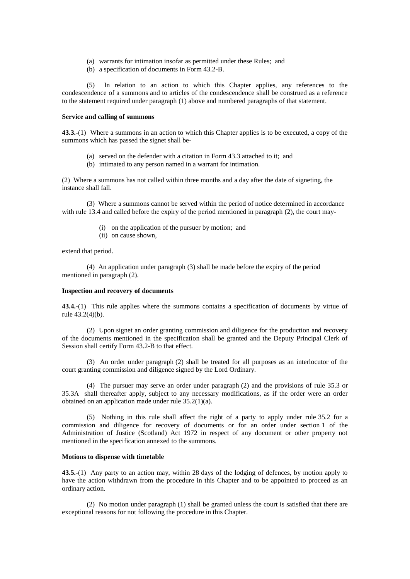- (a) warrants for intimation insofar as permitted under these Rules; and
- (b) a specification of documents in Form 43.2-B.

(5) In relation to an action to which this Chapter applies, any references to the condescendence of a summons and to articles of the condescendence shall be construed as a reference to the statement required under paragraph (1) above and numbered paragraphs of that statement.

# **Service and calling of summons**

**43.3.-**(1) Where a summons in an action to which this Chapter applies is to be executed, a copy of the summons which has passed the signet shall be-

- (a) served on the defender with a citation in Form 43.3 attached to it; and
- (b) intimated to any person named in a warrant for intimation.

(2) Where a summons has not called within three months and a day after the date of signeting, the instance shall fall.

(3) Where a summons cannot be served within the period of notice determined in accordance with rule 13.4 and called before the expiry of the period mentioned in paragraph (2), the court may-

- (i) on the application of the pursuer by motion; and
- (ii) on cause shown,

extend that period.

(4) An application under paragraph (3) shall be made before the expiry of the period mentioned in paragraph (2).

# **Inspection and recovery of documents**

**43.4.**-(1) This rule applies where the summons contains a specification of documents by virtue of rule 43.2(4)(b).

(2) Upon signet an order granting commission and diligence for the production and recovery of the documents mentioned in the specification shall be granted and the Deputy Principal Clerk of Session shall certify Form 43.2-B to that effect.

(3) An order under paragraph (2) shall be treated for all purposes as an interlocutor of the court granting commission and diligence signed by the Lord Ordinary.

(4) The pursuer may serve an order under paragraph (2) and the provisions of rule 35.3 or 35.3A shall thereafter apply, subject to any necessary modifications, as if the order were an order obtained on an application made under rule 35.2(1)(a).

(5) Nothing in this rule shall affect the right of a party to apply under rule 35.2 for a commission and diligence for recovery of documents or for an order under section 1 of the Administration of Justice (Scotland) Act 1972 in respect of any document or other property not mentioned in the specification annexed to the summons.

## **Motions to dispense with timetable**

**43.5.**-(1) Any party to an action may, within 28 days of the lodging of defences, by motion apply to have the action withdrawn from the procedure in this Chapter and to be appointed to proceed as an ordinary action.

(2) No motion under paragraph (1) shall be granted unless the court is satisfied that there are exceptional reasons for not following the procedure in this Chapter.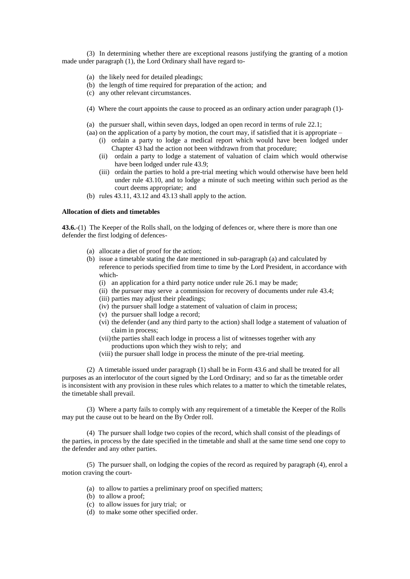(3) In determining whether there are exceptional reasons justifying the granting of a motion made under paragraph (1), the Lord Ordinary shall have regard to-

- (a) the likely need for detailed pleadings;
- (b) the length of time required for preparation of the action; and
- (c) any other relevant circumstances.
- (4) Where the court appoints the cause to proceed as an ordinary action under paragraph (1)-
- (a) the pursuer shall, within seven days, lodged an open record in terms of rule 22.1;
- (aa) on the application of a party by motion, the court may, if satisfied that it is appropriate
	- (i) ordain a party to lodge a medical report which would have been lodged under Chapter 43 had the action not been withdrawn from that procedure;
	- (ii) ordain a party to lodge a statement of valuation of claim which would otherwise have been lodged under rule 43.9:
	- (iii) ordain the parties to hold a pre-trial meeting which would otherwise have been held under rule 43.10, and to lodge a minute of such meeting within such period as the court deems appropriate; and
- (b) rules 43.11, 43.12 and 43.13 shall apply to the action.

## **Allocation of diets and timetables**

**43.6.**-(1) The Keeper of the Rolls shall, on the lodging of defences or, where there is more than one defender the first lodging of defences-

- (a) allocate a diet of proof for the action;
- (b) issue a timetable stating the date mentioned in sub-paragraph (a) and calculated by reference to periods specified from time to time by the Lord President, in accordance with which-
	- (i) an application for a third party notice under rule 26.1 may be made;
	- (ii) the pursuer may serve a commission for recovery of documents under rule 43.4;
	- (iii) parties may adjust their pleadings;
	- (iv) the pursuer shall lodge a statement of valuation of claim in process;
	- (v) the pursuer shall lodge a record;
	- (vi) the defender (and any third party to the action) shall lodge a statement of valuation of claim in process;
	- (vii) the parties shall each lodge in process a list of witnesses together with any productions upon which they wish to rely; and
	- (viii) the pursuer shall lodge in process the minute of the pre-trial meeting.

(2) A timetable issued under paragraph (1) shall be in Form 43.6 and shall be treated for all purposes as an interlocutor of the court signed by the Lord Ordinary; and so far as the timetable order is inconsistent with any provision in these rules which relates to a matter to which the timetable relates, the timetable shall prevail.

(3) Where a party fails to comply with any requirement of a timetable the Keeper of the Rolls may put the cause out to be heard on the By Order roll.

(4) The pursuer shall lodge two copies of the record, which shall consist of the pleadings of the parties, in process by the date specified in the timetable and shall at the same time send one copy to the defender and any other parties.

(5) The pursuer shall, on lodging the copies of the record as required by paragraph (4), enrol a motion craving the court-

- (a) to allow to parties a preliminary proof on specified matters;
- (b) to allow a proof;
- (c) to allow issues for jury trial; or
- (d) to make some other specified order.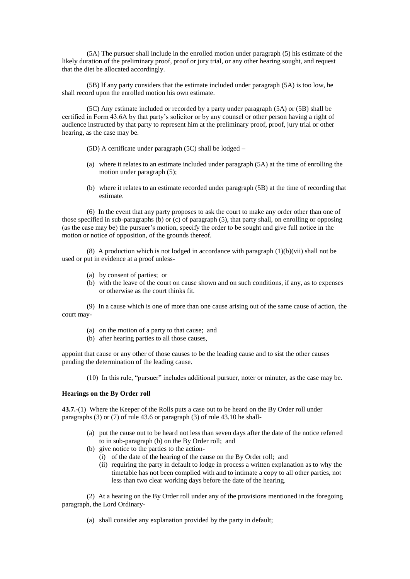(5A) The pursuer shall include in the enrolled motion under paragraph (5) his estimate of the likely duration of the preliminary proof, proof or jury trial, or any other hearing sought, and request that the diet be allocated accordingly.

(5B) If any party considers that the estimate included under paragraph (5A) is too low, he shall record upon the enrolled motion his own estimate.

(5C) Any estimate included or recorded by a party under paragraph (5A) or (5B) shall be certified in Form 43.6A by that party's solicitor or by any counsel or other person having a right of audience instructed by that party to represent him at the preliminary proof, proof, jury trial or other hearing, as the case may be.

(5D) A certificate under paragraph (5C) shall be lodged –

- (a) where it relates to an estimate included under paragraph (5A) at the time of enrolling the motion under paragraph (5);
- (b) where it relates to an estimate recorded under paragraph (5B) at the time of recording that estimate.

(6) In the event that any party proposes to ask the court to make any order other than one of those specified in sub-paragraphs (b) or (c) of paragraph (5), that party shall, on enrolling or opposing (as the case may be) the pursuer's motion, specify the order to be sought and give full notice in the motion or notice of opposition, of the grounds thereof.

(8) A production which is not lodged in accordance with paragraph  $(1)(b)(vii)$  shall not be used or put in evidence at a proof unless-

- (a) by consent of parties; or
- (b) with the leave of the court on cause shown and on such conditions, if any, as to expenses or otherwise as the court thinks fit.

(9) In a cause which is one of more than one cause arising out of the same cause of action, the court may-

- (a) on the motion of a party to that cause; and
- (b) after hearing parties to all those causes,

appoint that cause or any other of those causes to be the leading cause and to sist the other causes pending the determination of the leading cause.

(10) In this rule, "pursuer" includes additional pursuer, noter or minuter, as the case may be.

#### **Hearings on the By Order roll**

**43.7.**-(1) Where the Keeper of the Rolls puts a case out to be heard on the By Order roll under paragraphs (3) or (7) of rule 43.6 or paragraph (3) of rule 43.10 he shall-

- (a) put the cause out to be heard not less than seven days after the date of the notice referred to in sub-paragraph (b) on the By Order roll; and
- (b) give notice to the parties to the action-
	- (i) of the date of the hearing of the cause on the By Order roll; and
	- (ii) requiring the party in default to lodge in process a written explanation as to why the timetable has not been complied with and to intimate a copy to all other parties, not less than two clear working days before the date of the hearing.

(2) At a hearing on the By Order roll under any of the provisions mentioned in the foregoing paragraph, the Lord Ordinary-

(a) shall consider any explanation provided by the party in default;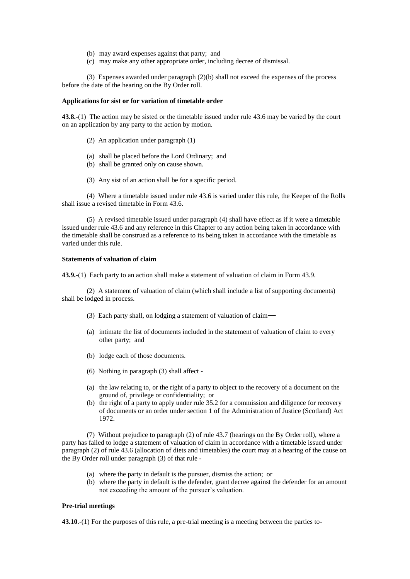- (b) may award expenses against that party; and
- (c) may make any other appropriate order, including decree of dismissal.

(3) Expenses awarded under paragraph (2)(b) shall not exceed the expenses of the process before the date of the hearing on the By Order roll.

# **Applications for sist or for variation of timetable order**

**43.8.**-(1) The action may be sisted or the timetable issued under rule 43.6 may be varied by the court on an application by any party to the action by motion.

- (2) An application under paragraph (1)
- (a) shall be placed before the Lord Ordinary; and
- (b) shall be granted only on cause shown.
- (3) Any sist of an action shall be for a specific period.

(4) Where a timetable issued under rule 43.6 is varied under this rule, the Keeper of the Rolls shall issue a revised timetable in Form 43.6.

(5) A revised timetable issued under paragraph (4) shall have effect as if it were a timetable issued under rule 43.6 and any reference in this Chapter to any action being taken in accordance with the timetable shall be construed as a reference to its being taken in accordance with the timetable as varied under this rule.

# **Statements of valuation of claim**

**43.9.**-(1) Each party to an action shall make a statement of valuation of claim in Form 43.9.

(2) A statement of valuation of claim (which shall include a list of supporting documents) shall be lodged in process.

- (3) Each party shall, on lodging a statement of valuation of claim―
- (a) intimate the list of documents included in the statement of valuation of claim to every other party; and
- (b) lodge each of those documents.
- (6) Nothing in paragraph (3) shall affect -
- (a) the law relating to, or the right of a party to object to the recovery of a document on the ground of, privilege or confidentiality; or
- (b) the right of a party to apply under rule 35.2 for a commission and diligence for recovery of documents or an order under section 1 of the Administration of Justice (Scotland) Act 1972.

(7) Without prejudice to paragraph (2) of rule 43.7 (hearings on the By Order roll), where a party has failed to lodge a statement of valuation of claim in accordance with a timetable issued under paragraph (2) of rule 43.6 (allocation of diets and timetables) the court may at a hearing of the cause on the By Order roll under paragraph (3) of that rule -

- (a) where the party in default is the pursuer, dismiss the action; or
- (b) where the party in default is the defender, grant decree against the defender for an amount not exceeding the amount of the pursuer's valuation.

#### **Pre-trial meetings**

**43.10**.-(1) For the purposes of this rule, a pre-trial meeting is a meeting between the parties to-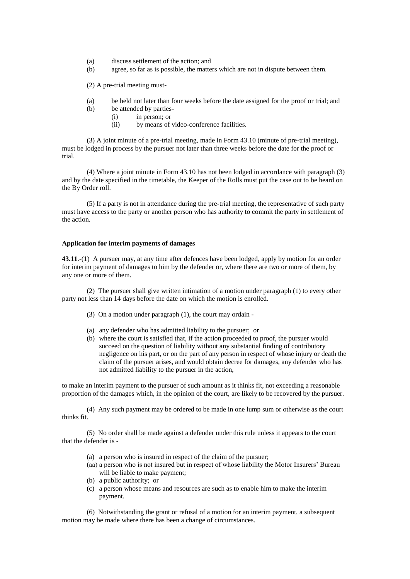- (a) discuss settlement of the action; and
- (b) agree, so far as is possible, the matters which are not in dispute between them.

(2) A pre-trial meeting must-

- (a) be held not later than four weeks before the date assigned for the proof or trial; and
- (b) be attended by parties-
	- (i) in person; or
	- (ii) by means of video-conference facilities.

(3) A joint minute of a pre-trial meeting, made in Form 43.10 (minute of pre-trial meeting), must be lodged in process by the pursuer not later than three weeks before the date for the proof or trial.

(4) Where a joint minute in Form 43.10 has not been lodged in accordance with paragraph (3) and by the date specified in the timetable, the Keeper of the Rolls must put the case out to be heard on the By Order roll.

(5) If a party is not in attendance during the pre-trial meeting, the representative of such party must have access to the party or another person who has authority to commit the party in settlement of the action.

# **Application for interim payments of damages**

**43.11**.-(1) A pursuer may, at any time after defences have been lodged, apply by motion for an order for interim payment of damages to him by the defender or, where there are two or more of them, by any one or more of them.

(2) The pursuer shall give written intimation of a motion under paragraph (1) to every other party not less than 14 days before the date on which the motion is enrolled.

- (3) On a motion under paragraph (1), the court may ordain -
- (a) any defender who has admitted liability to the pursuer; or
- (b) where the court is satisfied that, if the action proceeded to proof, the pursuer would succeed on the question of liability without any substantial finding of contributory negligence on his part, or on the part of any person in respect of whose injury or death the claim of the pursuer arises, and would obtain decree for damages, any defender who has not admitted liability to the pursuer in the action,

to make an interim payment to the pursuer of such amount as it thinks fit, not exceeding a reasonable proportion of the damages which, in the opinion of the court, are likely to be recovered by the pursuer.

(4) Any such payment may be ordered to be made in one lump sum or otherwise as the court thinks fit.

(5) No order shall be made against a defender under this rule unless it appears to the court that the defender is -

- (a) a person who is insured in respect of the claim of the pursuer;
- (aa) a person who is not insured but in respect of whose liability the Motor Insurers' Bureau will be liable to make payment;
- (b) a public authority; or
- (c) a person whose means and resources are such as to enable him to make the interim payment.

(6) Notwithstanding the grant or refusal of a motion for an interim payment, a subsequent motion may be made where there has been a change of circumstances.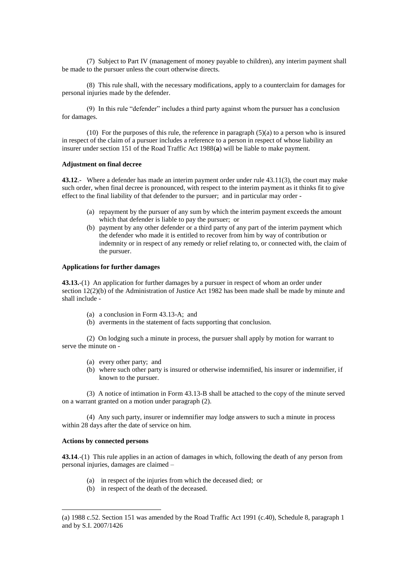(7) Subject to Part IV (management of money payable to children), any interim payment shall be made to the pursuer unless the court otherwise directs.

(8) This rule shall, with the necessary modifications, apply to a counterclaim for damages for personal injuries made by the defender.

(9) In this rule "defender" includes a third party against whom the pursuer has a conclusion for damages.

(10) For the purposes of this rule, the reference in paragraph (5)(a) to a person who is insured in respect of the claim of a pursuer includes a reference to a person in respect of whose liability an insurer under section 151 of the Road Traffic Act 1988(**a**) will be liable to make payment.

# **Adjustment on final decree**

**43.12**.- Where a defender has made an interim payment order under rule 43.11(3), the court may make such order, when final decree is pronounced, with respect to the interim payment as it thinks fit to give effect to the final liability of that defender to the pursuer; and in particular may order -

- (a) repayment by the pursuer of any sum by which the interim payment exceeds the amount which that defender is liable to pay the pursuer; or
- (b) payment by any other defender or a third party of any part of the interim payment which the defender who made it is entitled to recover from him by way of contribution or indemnity or in respect of any remedy or relief relating to, or connected with, the claim of the pursuer.

# **Applications for further damages**

**43.13.**-(1) An application for further damages by a pursuer in respect of whom an order under section 12(2)(b) of the Administration of Justice Act 1982 has been made shall be made by minute and shall include -

- (a) a conclusion in Form 43.13-A; and
- (b) averments in the statement of facts supporting that conclusion.

(2) On lodging such a minute in process, the pursuer shall apply by motion for warrant to serve the minute on -

- (a) every other party; and
- (b) where such other party is insured or otherwise indemnified, his insurer or indemnifier, if known to the pursuer.

(3) A notice of intimation in Form 43.13-B shall be attached to the copy of the minute served on a warrant granted on a motion under paragraph (2).

(4) Any such party, insurer or indemnifier may lodge answers to such a minute in process within 28 days after the date of service on him.

# **Actions by connected persons**

1

**43.14**.-(1) This rule applies in an action of damages in which, following the death of any person from personal injuries, damages are claimed –

- (a) in respect of the injuries from which the deceased died; or
- (b) in respect of the death of the deceased.

<sup>(</sup>a) 1988 c.52. Section 151 was amended by the Road Traffic Act 1991 (c.40), Schedule 8, paragraph 1 and by S.I. 2007/1426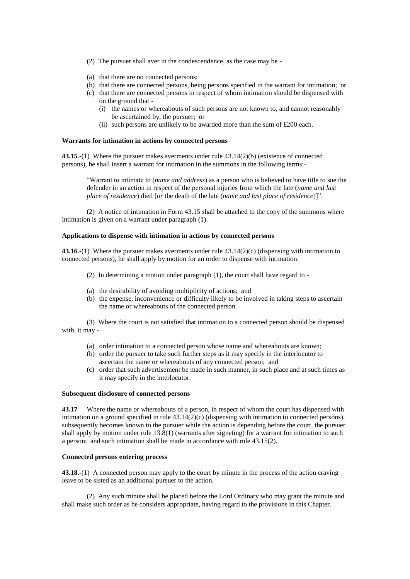- (2) The pursuer shall aver in the condescendence, as the case may be -
- (a) that there are no connected persons;
- (b) that there are connected persons, being persons specified in the warrant for intimation; or
- (c) that there are connected persons in respect of whom intimation should be dispensed with on the ground that -
	- (i) the names or whereabouts of such persons are not known to, and cannot reasonably be ascertained by, the pursuer; or
	- (ii) such persons are unlikely to be awarded more than the sum of £200 each.

#### **Warrants for intimation in actions by connected persons**

**43.15**.-(1) Where the pursuer makes averments under rule 43.14(2)(b) (existence of connected persons), he shall insert a warrant for intimation in the summons in the following terms:-

"Warrant to intimate to (*name and address*) as a person who is believed to have title to sue the defender in an action in respect of the personal injuries from which the late (*name and last place of residence*) died [*or* the death of the late (*name and last place of residence*)]".

(2) A notice of intimation in Form 43.15 shall be attached to the copy of the summons where intimation is given on a warrant under paragraph (1).

#### **Applications to dispense with intimation in actions by connected persons**

**43.16**.-(1) Where the pursuer makes averments under rule 43.14(2)(c) (dispensing with intimation to connected persons), he shall apply by motion for an order to dispense with intimation.

- (2) In determining a motion under paragraph (1), the court shall have regard to -
- (a) the desirability of avoiding multiplicity of actions; and
- (b) the expense, inconvenience or difficulty likely to be involved in taking steps to ascertain the name or whereabouts of the connected person.

(3) Where the court is not satisfied that intimation to a connected person should be dispensed with, it may -

- (a) order intimation to a connected person whose name and whereabouts are known;
- (b) order the pursuer to take such further steps as it may specify in the interlocutor to ascertain the name or whereabouts of any connected person; and
- (c) order that such advertisement be made in such manner, in such place and at such times as it may specify in the interlocutor.

#### **Subsequent disclosure of connected persons**

**43.17** Where the name or whereabouts of a person, in respect of whom the court has dispensed with intimation on a ground specified in rule  $43.14(2)(c)$  (dispensing with intimation to connected persons), subsequently becomes known to the pursuer while the action is depending before the court, the pursuer shall apply by motion under rule  $13.8(1)$  (warrants after signeting) for a warrant for intimation to such a person; and such intimation shall be made in accordance with rule 43.15(2).

## **Connected persons entering process**

**43.18**.-(1) A connected person may apply to the court by minute in the process of the action craving leave to be sisted as an additional pursuer to the action.

(2) Any such minute shall be placed before the Lord Ordinary who may grant the minute and shall make such order as he considers appropriate, having regard to the provisions in this Chapter.